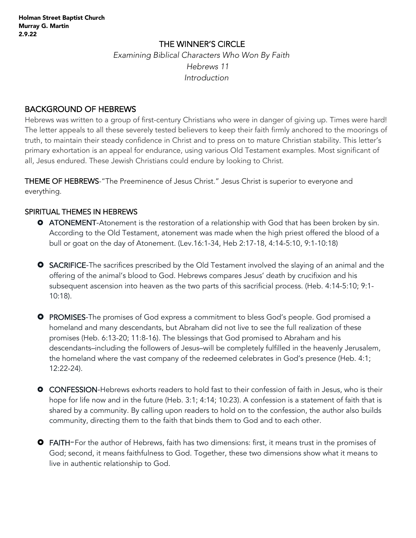## THE WINNER'S CIRCLE

 *Examining Biblical Characters Who Won By Faith Hebrews 11 Introduction*

# BACKGROUND OF HEBREWS

Hebrews was written to a group of first-century Christians who were in danger of giving up. Times were hard! The letter appeals to all these severely tested believers to keep their faith firmly anchored to the moorings of truth, to maintain their steady confidence in Christ and to press on to mature Christian stability. This letter's primary exhortation is an appeal for endurance, using various Old Testament examples. Most significant of all, Jesus endured. These Jewish Christians could endure by looking to Christ.

THEME OF HEBREWS-"The Preeminence of Jesus Christ." Jesus Christ is superior to everyone and everything.

### SPIRITUAL THEMES IN HEBREWS

- **O** ATONEMENT-Atonement is the restoration of a relationship with God that has been broken by sin. According to the Old Testament, atonement was made when the high priest offered the blood of a bull or goat on the day of Atonement. (Lev.16:1-34, Heb 2:17-18, 4:14-5:10, 9:1-10:18)
- **O** SACRIFICE-The sacrifices prescribed by the Old Testament involved the slaying of an animal and the offering of the animal's blood to God. Hebrews compares Jesus' death by crucifixion and his subsequent ascension into heaven as the two parts of this sacrificial process. (Heb. 4:14-5:10; 9:1- 10:18).
- **O** PROMISES-The promises of God express a commitment to bless God's people. God promised a homeland and many descendants, but Abraham did not live to see the full realization of these promises (Heb. 6:13-20; 11:8-16). The blessings that God promised to Abraham and his descendants–including the followers of Jesus–will be completely fulfilled in the heavenly Jerusalem, the homeland where the vast company of the redeemed celebrates in God's presence (Heb. 4:1; 12:22-24).
- **O** CONFESSION-Hebrews exhorts readers to hold fast to their confession of faith in Jesus, who is their hope for life now and in the future (Heb. 3:1; 4:14; 10:23). A confession is a statement of faith that is shared by a community. By calling upon readers to hold on to the confession, the author also builds community, directing them to the faith that binds them to God and to each other.
- **O** FAITH-For the author of Hebrews, faith has two dimensions: first, it means trust in the promises of God; second, it means faithfulness to God. Together, these two dimensions show what it means to live in authentic relationship to God.